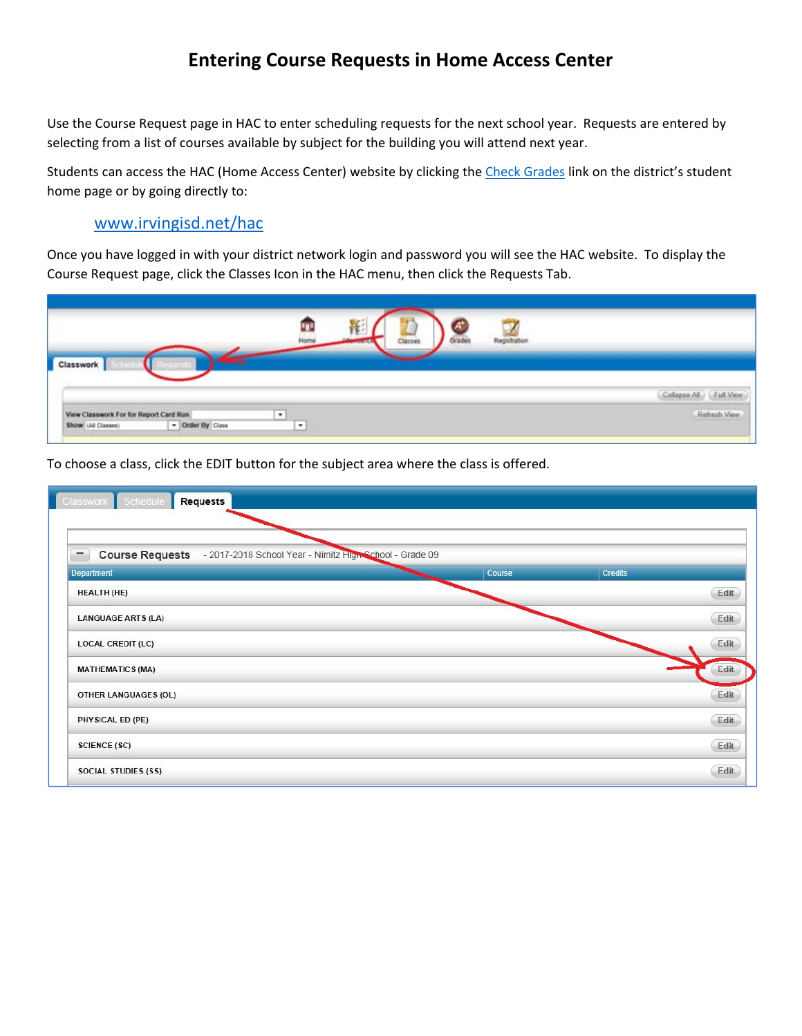## **Entering Course Requests in Home Access Center**

Use the Course Request page in HAC to enter scheduling requests for the next school year. Requests are entered by selecting from a list of courses available by subject for the building you will attend next year.

Students can access the HAC (Home Access Center) website by clicking the Check Grades link on the district's student home page or by going directly to:

## www.irvingisd.net/hac

Once you have logged in with your district network login and password you will see the HAC website. To display the Course Request page, click the Classes Icon in the HAC menu, then click the Requests Tab.

|                                                                                  | Home<br>Grades<br>Classes            | Registration                     |
|----------------------------------------------------------------------------------|--------------------------------------|----------------------------------|
| <b>Classwork</b>                                                                 |                                      |                                  |
|                                                                                  |                                      | Collapse All<br><b>CEulLView</b> |
| View Classwork For for Report Card Run<br>- Order By Class<br>Show (All Classes) | $\bullet$<br><b>STATISTICS</b><br>I. | Refresh View                     |

To choose a class, click the EDIT button for the subject area where the class is offered.

| -                           | Course Requests - 2017-2018 School Year - Nimitz High School - Grade 09 |                |
|-----------------------------|-------------------------------------------------------------------------|----------------|
| Department                  | Course                                                                  | <b>Credits</b> |
| <b>HEALTH (HE)</b>          |                                                                         | Edit           |
| <b>LANGUAGE ARTS (LA)</b>   |                                                                         | Edit           |
| <b>LOCAL CREDIT (LC)</b>    |                                                                         | Edit           |
| <b>MATHEMATICS (MA)</b>     |                                                                         | Edit           |
| <b>OTHER LANGUAGES (OL)</b> |                                                                         | Edit           |
| PHYSICAL ED (PE)            |                                                                         | Edit           |
| <b>SCIENCE (SC)</b>         |                                                                         | Edit           |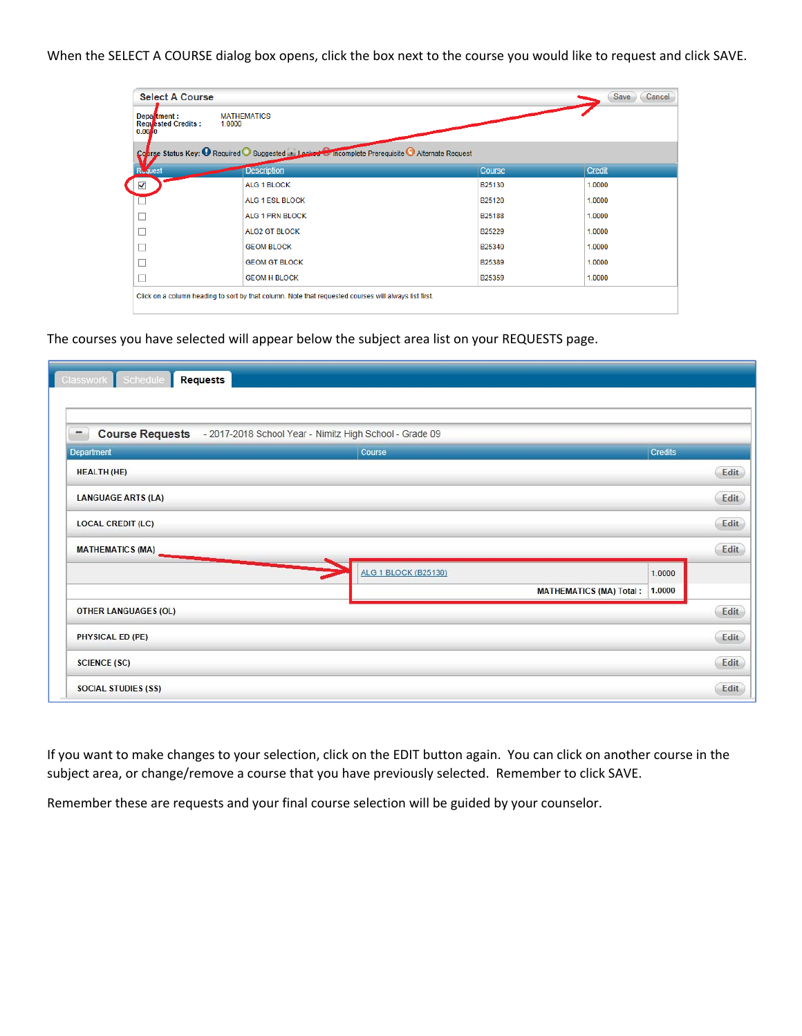When the SELECT A COURSE dialog box opens, click the box next to the course you would like to request and click SAVE.

| <b>Select A Course</b>                             |                                                                                                       |                    | Save<br>Cancel |
|----------------------------------------------------|-------------------------------------------------------------------------------------------------------|--------------------|----------------|
| Department:<br><b>Requested Credits:</b><br>0.0010 | <b>MATHEMATICS</b><br>1.0000                                                                          |                    |                |
|                                                    | Course Status Key: <sup>1</sup> Required Suggested 1 Locked Complete Prerequisite Alternate Request   |                    |                |
| <b>R</b> uest                                      | <b>Description</b>                                                                                    | Course             | Credit         |
|                                                    | ALG 1 BLOCK                                                                                           | B25130             | 1.0000         |
|                                                    | <b>ALG 1 ESL BLOCK</b>                                                                                | B <sub>25120</sub> | 1.0000         |
|                                                    | <b>ALG 1 PRN BLOCK</b>                                                                                | B25188             | 1.0000         |
|                                                    | <b>ALG2 GT BLOCK</b>                                                                                  | B25229             | 1.0000         |
|                                                    | <b>GEOM BLOCK</b>                                                                                     | B25340             | 1.0000         |
|                                                    | <b>GEOM GT BLOCK</b>                                                                                  | B25389             | 1.0000         |
|                                                    | <b>GEOM H BLOCK</b>                                                                                   | B25359             | 1.0000         |
|                                                    | Click on a column heading to sort by that column. Note that requested courses will always list first. |                    |                |

The courses you have selected will appear below the subject area list on your REQUESTS page.

| -                           | Course Requests - 2017-2018 School Year - Nimitz High School - Grade 09 |                                |         |      |
|-----------------------------|-------------------------------------------------------------------------|--------------------------------|---------|------|
| Department                  | Course                                                                  |                                | Credits |      |
| <b>HEALTH (HE)</b>          |                                                                         |                                |         | Edit |
| <b>LANGUAGE ARTS (LA)</b>   |                                                                         |                                |         | Edit |
| <b>LOCAL CREDIT (LC)</b>    |                                                                         |                                |         | Edit |
| <b>MATHEMATICS (MA)</b>     |                                                                         |                                |         | Edit |
|                             | <b>ALG 1 BLOCK (B25130)</b>                                             |                                | 1.0000  |      |
|                             |                                                                         | <b>MATHEMATICS (MA) Total:</b> | 1.0000  |      |
| <b>OTHER LANGUAGES (OL)</b> |                                                                         |                                |         | Edit |
| PHYSICAL ED (PE)            |                                                                         |                                |         | Edit |
| <b>SCIENCE (SC)</b>         |                                                                         |                                |         | Edit |

If you want to make changes to your selection, click on the EDIT button again. You can click on another course in the subject area, or change/remove a course that you have previously selected. Remember to click SAVE.

Remember these are requests and your final course selection will be guided by your counselor.